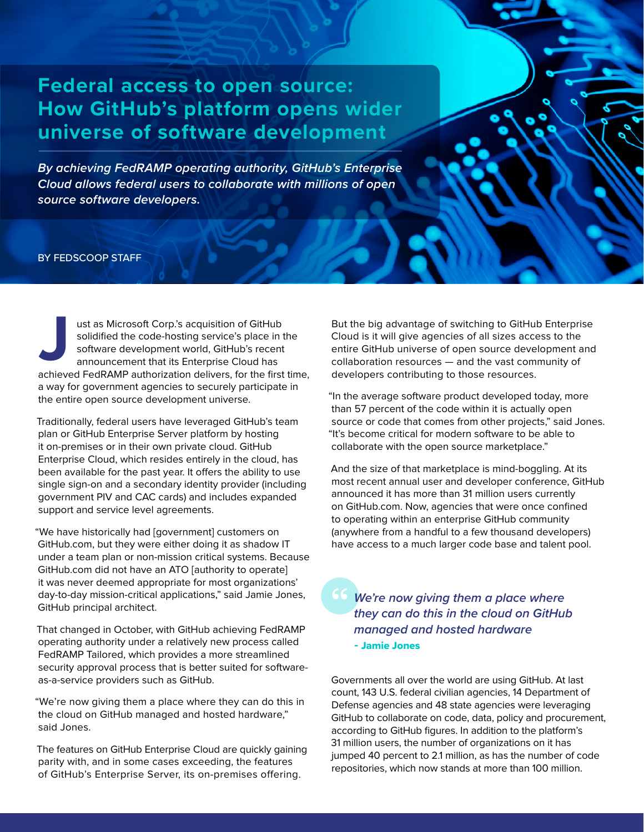## **Federal access to open source: How GitHub's platform opens wider universe of software development**

*By achieving FedRAMP operating authority, GitHub's Enterprise Cloud allows federal users to collaborate with millions of open source software developers.*

BY FEDSCOOP STAFF

ust as Microsoft Corp.'s acquisition of GitHub solidified the code-hosting service's place in the software development world, GitHub's recent announcement that its Enterprise Cloud has ust as Microsoft Corp.'s acquisition of GitHub<br>solidified the code-hosting service's place in the<br>software development world, GitHub's recent<br>announcement that its Enterprise Cloud has<br>achieved FedRAMP authorization delive a way for government agencies to securely participate in the entire open source development universe.

Traditionally, federal users have leveraged GitHub's team plan or GitHub Enterprise Server platform by hosting it on-premises or in their own private cloud. GitHub Enterprise Cloud, which resides entirely in the cloud, has been available for the past year. It offers the ability to use single sign-on and a secondary identity provider (including government PIV and CAC cards) and includes expanded support and service level agreements.

"We have historically had [government] customers on GitHub.com, but they were either doing it as shadow IT under a team plan or non-mission critical systems. Because GitHub.com did not have an ATO [authority to operate] it was never deemed appropriate for most organizations' day-to-day mission-critical applications," said Jamie Jones, GitHub principal architect.

That changed in October, with GitHub achieving FedRAMP operating authority under a relatively new process called FedRAMP Tailored, which provides a more streamlined security approval process that is better suited for softwareas-a-service providers such as GitHub.

"We're now giving them a place where they can do this in the cloud on GitHub managed and hosted hardware," said Jones.

The features on GitHub Enterprise Cloud are quickly gaining parity with, and in some cases exceeding, the features of GitHub's Enterprise Server, its on-premises offering.

But the big advantage of switching to GitHub Enterprise Cloud is it will give agencies of all sizes access to the entire GitHub universe of open source development and collaboration resources — and the vast community of developers contributing to those resources.

"In the average software product developed today, more than 57 percent of the code within it is actually open source or code that comes from other projects," said Jones. "It's become critical for modern software to be able to collaborate with the open source marketplace."

And the size of that marketplace is mind-boggling. At its most recent annual user and developer conference, GitHub announced it has more than 31 million users currently on GitHub.com. Now, agencies that were once confined to operating within an enterprise GitHub community (anywhere from a handful to a few thousand developers) have access to a much larger code base and talent pool.

*We're now giving them a place where they can do this in the cloud on GitHub managed and hosted hardware*  - Jamie Jones

Governments all over the world are using GitHub. At last count, 143 U.S. federal civilian agencies, 14 Department of Defense agencies and 48 state agencies were leveraging GitHub to collaborate on code, data, policy and procurement, according to GitHub figures. In addition to the platform's 31 million users, the number of organizations on it has jumped 40 percent to 2.1 million, as has the number of code repositories, which now stands at more than 100 million.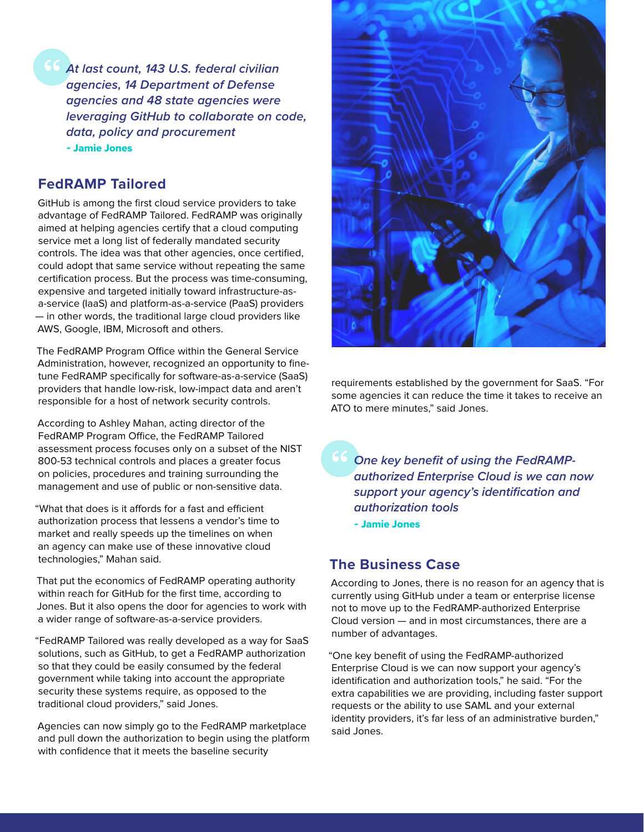*At last count, 143 U.S. federal civilian*  **"***agencies, 14 Department of Defense agencies and 48 state agencies were leveraging GitHub to collaborate on code, data, policy and procurement* - Jamie Jones

## **FedRAMP Tailored**

GitHub is among the first cloud service providers to take advantage of FedRAMP Tailored. FedRAMP was originally aimed at helping agencies certify that a cloud computing service met a long list of federally mandated security controls. The idea was that other agencies, once certified, could adopt that same service without repeating the same certification process. But the process was time-consuming, expensive and targeted initially toward infrastructure-asa-service (IaaS) and platform-as-a-service (PaaS) providers — in other words, the traditional large cloud providers like AWS, Google, IBM, Microsoft and others.

The FedRAMP Program Office within the General Service Administration, however, recognized an opportunity to finetune FedRAMP specifically for software-as-a-service (SaaS) providers that handle low-risk, low-impact data and aren't responsible for a host of network security controls.

According to Ashley Mahan, acting director of the FedRAMP Program Office, the FedRAMP Tailored assessment process focuses only on a subset of the NIST 800-53 technical controls and places a greater focus on policies, procedures and training surrounding the management and use of public or non-sensitive data.

"What that does is it affords for a fast and efficient authorization process that lessens a vendor's time to market and really speeds up the timelines on when an agency can make use of these innovative cloud technologies," Mahan said.

That put the economics of FedRAMP operating authority within reach for GitHub for the first time, according to Jones. But it also opens the door for agencies to work with a wider range of software-as-a-service providers.

"FedRAMP Tailored was really developed as a way for SaaS solutions, such as GitHub, to get a FedRAMP authorization so that they could be easily consumed by the federal government while taking into account the appropriate security these systems require, as opposed to the traditional cloud providers," said Jones.

Agencies can now simply go to the FedRAMP marketplace and pull down the authorization to begin using the platform with confidence that it meets the baseline security



requirements established by the government for SaaS. "For some agencies it can reduce the time it takes to receive an ATO to mere minutes," said Jones.

*One key benefit of using the FedRAMPauthorized Enterprise Cloud is we can now support your agency's identification and authorization tools*

- Jamie Jones

## **The Business Case**

According to Jones, there is no reason for an agency that is currently using GitHub under a team or enterprise license not to move up to the FedRAMP-authorized Enterprise Cloud version — and in most circumstances, there are a number of advantages.

"One key benefit of using the FedRAMP-authorized Enterprise Cloud is we can now support your agency's identification and authorization tools," he said. "For the extra capabilities we are providing, including faster support requests or the ability to use SAML and your external identity providers, it's far less of an administrative burden," said Jones.